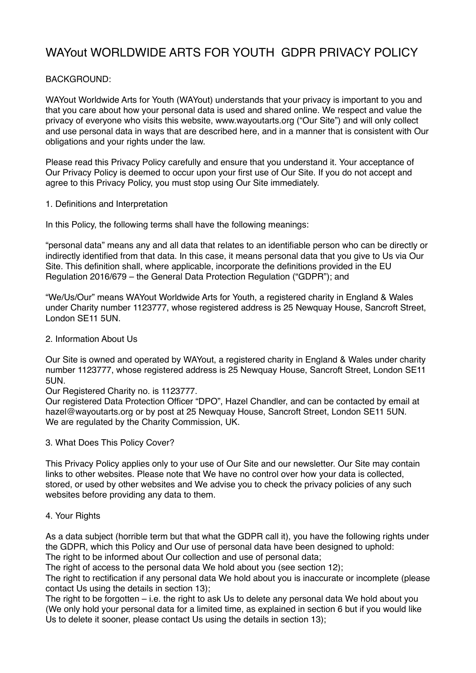# WAYout WORLDWIDE ARTS FOR YOUTH GDPR PRIVACY POLICY

## BACKGROUND:

WAYout Worldwide Arts for Youth (WAYout) understands that your privacy is important to you and that you care about how your personal data is used and shared online. We respect and value the privacy of everyone who visits this website, www.wayoutarts.org ("Our Site") and will only collect and use personal data in ways that are described here, and in a manner that is consistent with Our obligations and your rights under the law.

Please read this Privacy Policy carefully and ensure that you understand it. Your acceptance of Our Privacy Policy is deemed to occur upon your first use of Our Site. If you do not accept and agree to this Privacy Policy, you must stop using Our Site immediately.

## 1. Definitions and Interpretation

In this Policy, the following terms shall have the following meanings:

"personal data" means any and all data that relates to an identifiable person who can be directly or indirectly identified from that data. In this case, it means personal data that you give to Us via Our Site. This definition shall, where applicable, incorporate the definitions provided in the EU Regulation 2016/679 – the General Data Protection Regulation ("GDPR"); and

"We/Us/Our" means WAYout Worldwide Arts for Youth, a registered charity in England & Wales under Charity number 1123777, whose registered address is 25 Newquay House, Sancroft Street, London SE11 5UN.

## 2. Information About Us

Our Site is owned and operated by WAYout, a registered charity in England & Wales under charity number 1123777, whose registered address is 25 Newquay House, Sancroft Street, London SE11 5UN.

#### Our Registered Charity no. is 1123777.

Our registered Data Protection Officer "DPO", Hazel Chandler, and can be contacted by email at hazel@wayoutarts.org or by post at 25 Newquay House, Sancroft Street, London SE11 5UN. We are regulated by the Charity Commission, UK.

#### 3. What Does This Policy Cover?

This Privacy Policy applies only to your use of Our Site and our newsletter. Our Site may contain links to other websites. Please note that We have no control over how your data is collected, stored, or used by other websites and We advise you to check the privacy policies of any such websites before providing any data to them.

#### 4. Your Rights

As a data subject (horrible term but that what the GDPR call it), you have the following rights under the GDPR, which this Policy and Our use of personal data have been designed to uphold: The right to be informed about Our collection and use of personal data;

The right of access to the personal data We hold about you (see section 12);

The right to rectification if any personal data We hold about you is inaccurate or incomplete (please contact Us using the details in section 13);

The right to be forgotten – i.e. the right to ask Us to delete any personal data We hold about you (We only hold your personal data for a limited time, as explained in section 6 but if you would like Us to delete it sooner, please contact Us using the details in section 13);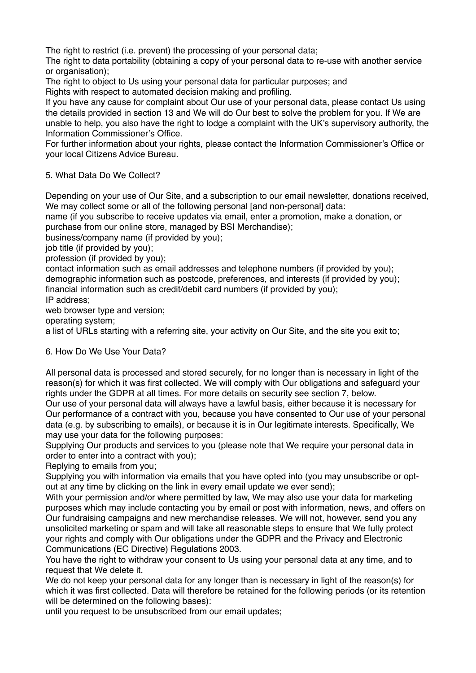The right to restrict (i.e. prevent) the processing of your personal data;

The right to data portability (obtaining a copy of your personal data to re-use with another service or organisation);

The right to object to Us using your personal data for particular purposes; and

Rights with respect to automated decision making and profiling.

If you have any cause for complaint about Our use of your personal data, please contact Us using the details provided in section 13 and We will do Our best to solve the problem for you. If We are unable to help, you also have the right to lodge a complaint with the UK's supervisory authority, the Information Commissioner's Office.

For further information about your rights, please contact the Information Commissioner's Office or your local Citizens Advice Bureau.

## 5. What Data Do We Collect?

Depending on your use of Our Site, and a subscription to our email newsletter, donations received, We may collect some or all of the following personal [and non-personal] data:

name (if you subscribe to receive updates via email, enter a promotion, make a donation, or purchase from our online store, managed by BSI Merchandise);

business/company name (if provided by you);

job title (if provided by you);

profession (if provided by you);

contact information such as email addresses and telephone numbers (if provided by you); demographic information such as postcode, preferences, and interests (if provided by you); financial information such as credit/debit card numbers (if provided by you); IP address;

web browser type and version;

operating system;

a list of URLs starting with a referring site, your activity on Our Site, and the site you exit to;

## 6. How Do We Use Your Data?

All personal data is processed and stored securely, for no longer than is necessary in light of the reason(s) for which it was first collected. We will comply with Our obligations and safeguard your rights under the GDPR at all times. For more details on security see section 7, below.

Our use of your personal data will always have a lawful basis, either because it is necessary for Our performance of a contract with you, because you have consented to Our use of your personal data (e.g. by subscribing to emails), or because it is in Our legitimate interests. Specifically, We may use your data for the following purposes:

Supplying Our products and services to you (please note that We require your personal data in order to enter into a contract with you);

Replying to emails from you;

Supplying you with information via emails that you have opted into (you may unsubscribe or optout at any time by clicking on the link in every email update we ever send);

With your permission and/or where permitted by law, We may also use your data for marketing purposes which may include contacting you by email or post with information, news, and offers on Our fundraising campaigns and new merchandise releases. We will not, however, send you any unsolicited marketing or spam and will take all reasonable steps to ensure that We fully protect your rights and comply with Our obligations under the GDPR and the Privacy and Electronic Communications (EC Directive) Regulations 2003.

You have the right to withdraw your consent to Us using your personal data at any time, and to request that We delete it.

We do not keep your personal data for any longer than is necessary in light of the reason(s) for which it was first collected. Data will therefore be retained for the following periods (or its retention will be determined on the following bases):

until you request to be unsubscribed from our email updates;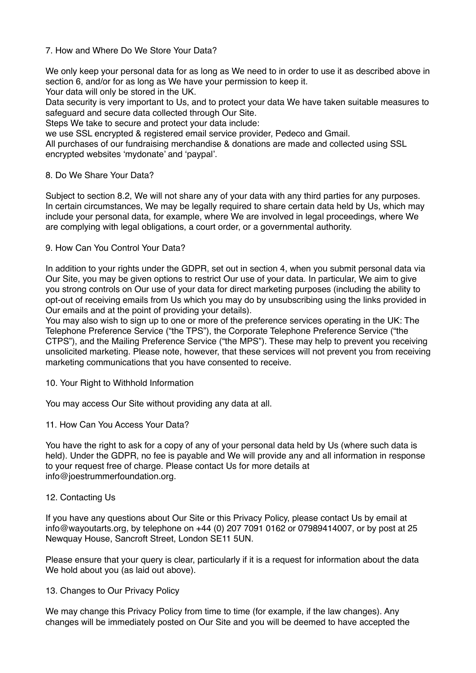## 7. How and Where Do We Store Your Data?

We only keep your personal data for as long as We need to in order to use it as described above in section 6, and/or for as long as We have your permission to keep it.

Your data will only be stored in the UK.

Data security is very important to Us, and to protect your data We have taken suitable measures to safeguard and secure data collected through Our Site.

Steps We take to secure and protect your data include:

we use SSL encrypted & registered email service provider, Pedeco and Gmail.

All purchases of our fundraising merchandise & donations are made and collected using SSL encrypted websites 'mydonate' and 'paypal'.

## 8. Do We Share Your Data?

Subject to section 8.2, We will not share any of your data with any third parties for any purposes. In certain circumstances, We may be legally required to share certain data held by Us, which may include your personal data, for example, where We are involved in legal proceedings, where We are complying with legal obligations, a court order, or a governmental authority.

## 9. How Can You Control Your Data?

In addition to your rights under the GDPR, set out in section 4, when you submit personal data via Our Site, you may be given options to restrict Our use of your data. In particular, We aim to give you strong controls on Our use of your data for direct marketing purposes (including the ability to opt-out of receiving emails from Us which you may do by unsubscribing using the links provided in Our emails and at the point of providing your details).

You may also wish to sign up to one or more of the preference services operating in the UK: The Telephone Preference Service ("the TPS"), the Corporate Telephone Preference Service ("the CTPS"), and the Mailing Preference Service ("the MPS"). These may help to prevent you receiving unsolicited marketing. Please note, however, that these services will not prevent you from receiving marketing communications that you have consented to receive.

#### 10. Your Right to Withhold Information

You may access Our Site without providing any data at all.

11. How Can You Access Your Data?

You have the right to ask for a copy of any of your personal data held by Us (where such data is held). Under the GDPR, no fee is payable and We will provide any and all information in response to your request free of charge. Please contact Us for more details at info@joestrummerfoundation.org.

#### 12. Contacting Us

If you have any questions about Our Site or this Privacy Policy, please contact Us by email at info@wayoutarts.org, by telephone on +44 (0) 207 7091 0162 or 07989414007, or by post at 25 Newquay House, Sancroft Street, London SE11 5UN.

Please ensure that your query is clear, particularly if it is a request for information about the data We hold about you (as laid out above).

#### 13. Changes to Our Privacy Policy

We may change this Privacy Policy from time to time (for example, if the law changes). Any changes will be immediately posted on Our Site and you will be deemed to have accepted the